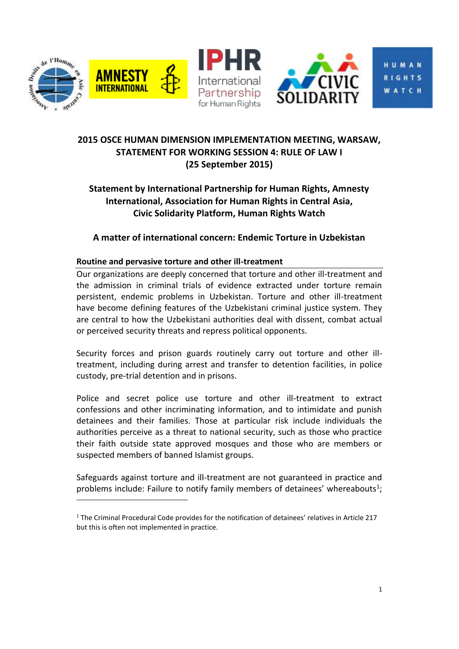

 $\overline{a}$ 



HUMAN **RIGHTS** WATCH

# **2015 OSCE HUMAN DIMENSION IMPLEMENTATION MEETING, WARSAW, STATEMENT FOR WORKING SESSION 4: RULE OF LAW I (25 September 2015)**

# **Statement by International Partnership for Human Rights, Amnesty International, Association for Human Rights in Central Asia, Civic Solidarity Platform, Human Rights Watch**

**A matter of international concern: Endemic Torture in Uzbekistan**

## **Routine and pervasive torture and other ill-treatment**

Our organizations are deeply concerned that torture and other ill-treatment and the admission in criminal trials of evidence extracted under torture remain persistent, endemic problems in Uzbekistan. Torture and other ill-treatment have become defining features of the Uzbekistani criminal justice system. They are central to how the Uzbekistani authorities deal with dissent, combat actual or perceived security threats and repress political opponents.

Security forces and prison guards routinely carry out torture and other illtreatment, including during arrest and transfer to detention facilities, in police custody, pre-trial detention and in prisons.

Police and secret police use torture and other ill-treatment to extract confessions and other incriminating information, and to intimidate and punish detainees and their families. Those at particular risk include individuals the authorities perceive as a threat to national security, such as those who practice their faith outside state approved mosques and those who are members or suspected members of banned Islamist groups.

Safeguards against torture and ill-treatment are not guaranteed in practice and problems include: Failure to notify family members of detainees' whereabouts<sup>1</sup>;

 $1$  The Criminal Procedural Code provides for the notification of detainees' relatives in Article 217 but this is often not implemented in practice.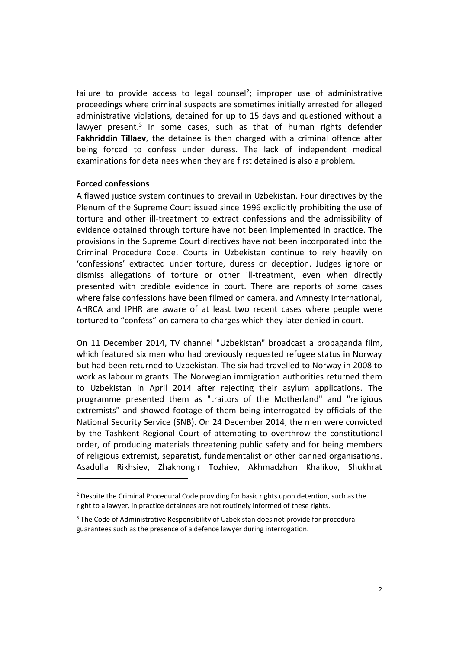failure to provide access to legal counsel<sup>2</sup>; improper use of administrative proceedings where criminal suspects are sometimes initially arrested for alleged administrative violations, detained for up to 15 days and questioned without a lawyer present.<sup>3</sup> In some cases, such as that of human rights defender **Fakhriddin Tillaev**, the detainee is then charged with a criminal offence after being forced to confess under duress. The lack of independent medical examinations for detainees when they are first detained is also a problem.

#### **Forced confessions**

 $\overline{a}$ 

A flawed justice system continues to prevail in Uzbekistan. Four directives by the Plenum of the Supreme Court issued since 1996 explicitly prohibiting the use of torture and other ill-treatment to extract confessions and the admissibility of evidence obtained through torture have not been implemented in practice. The provisions in the Supreme Court directives have not been incorporated into the Criminal Procedure Code. Courts in Uzbekistan continue to rely heavily on 'confessions' extracted under torture, duress or deception. Judges ignore or dismiss allegations of torture or other ill-treatment, even when directly presented with credible evidence in court. There are reports of some cases where false confessions have been filmed on camera, and Amnesty International, AHRCA and IPHR are aware of at least two recent cases where people were tortured to "confess" on camera to charges which they later denied in court.

On 11 December 2014, TV channel "Uzbekistan" broadcast a propaganda film, which featured six men who had previously requested refugee status in Norway but had been returned to Uzbekistan. The six had travelled to Norway in 2008 to work as labour migrants. The Norwegian immigration authorities returned them to Uzbekistan in April 2014 after rejecting their asylum applications. The programme presented them as "traitors of the Motherland" and "religious extremists" and showed footage of them being interrogated by officials of the National Security Service (SNB). On 24 December 2014, the men were convicted by the Tashkent Regional Court of attempting to overthrow the constitutional order, of producing materials threatening public safety and for being members of religious extremist, separatist, fundamentalist or other banned organisations. Asadulla Rikhsiev, Zhakhongir Tozhiev, Akhmadzhon Khalikov, Shukhrat

<sup>&</sup>lt;sup>2</sup> Despite the Criminal Procedural Code providing for basic rights upon detention, such as the right to a lawyer, in practice detainees are not routinely informed of these rights.

<sup>&</sup>lt;sup>3</sup> The Code of Administrative Responsibility of Uzbekistan does not provide for procedural guarantees such as the presence of a defence lawyer during interrogation.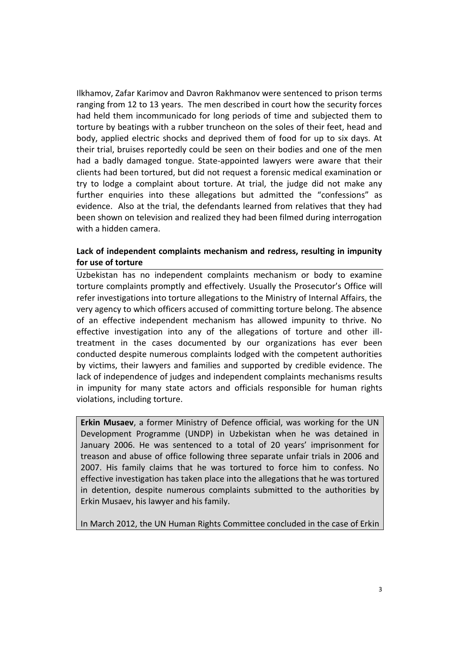Ilkhamov, Zafar Karimov and Davron Rakhmanov were sentenced to prison terms ranging from 12 to 13 years. The men described in court how the security forces had held them incommunicado for long periods of time and subjected them to torture by beatings with a rubber truncheon on the soles of their feet, head and body, applied electric shocks and deprived them of food for up to six days. At their trial, bruises reportedly could be seen on their bodies and one of the men had a badly damaged tongue. State-appointed lawyers were aware that their clients had been tortured, but did not request a forensic medical examination or try to lodge a complaint about torture. At trial, the judge did not make any further enquiries into these allegations but admitted the "confessions" as evidence. Also at the trial, the defendants learned from relatives that they had been shown on television and realized they had been filmed during interrogation with a hidden camera.

### **Lack of independent complaints mechanism and redress, resulting in impunity for use of torture**

Uzbekistan has no independent complaints mechanism or body to examine torture complaints promptly and effectively. Usually the Prosecutor's Office will refer investigations into torture allegations to the Ministry of Internal Affairs, the very agency to which officers accused of committing torture belong. The absence of an effective independent mechanism has allowed impunity to thrive. No effective investigation into any of the allegations of torture and other illtreatment in the cases documented by our organizations has ever been conducted despite numerous complaints lodged with the competent authorities by victims, their lawyers and families and supported by credible evidence. The lack of independence of judges and independent complaints mechanisms results in impunity for many state actors and officials responsible for human rights violations, including torture.

**Erkin Musaev**, a former Ministry of Defence official, was working for the UN Development Programme (UNDP) in Uzbekistan when he was detained in January 2006. He was sentenced to a total of 20 years' imprisonment for treason and abuse of office following three separate unfair trials in 2006 and 2007. His family claims that he was tortured to force him to confess. No effective investigation has taken place into the allegations that he was tortured in detention, despite numerous complaints submitted to the authorities by Erkin Musaev, his lawyer and his family.

In March 2012, the UN Human Rights Committee concluded in the case of Erkin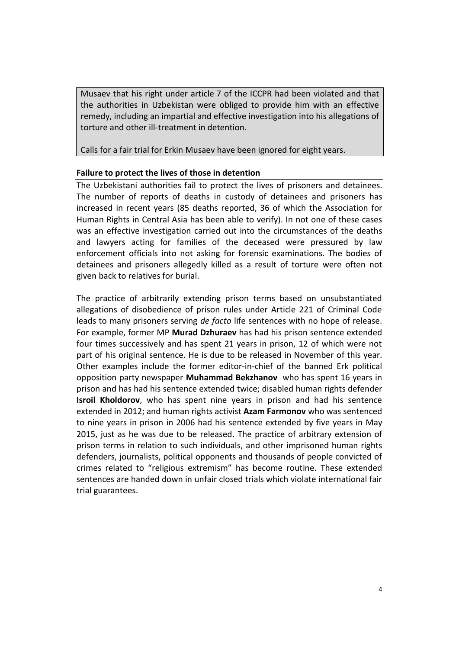Musaev that his right under article 7 of the ICCPR had been violated and that the authorities in Uzbekistan were obliged to provide him with an effective remedy, including an impartial and effective investigation into his allegations of torture and other ill-treatment in detention.

Calls for a fair trial for Erkin Musaev have been ignored for eight years.

#### **Failure to protect the lives of those in detention**

The Uzbekistani authorities fail to protect the lives of prisoners and detainees. The number of reports of deaths in custody of detainees and prisoners has increased in recent years (85 deaths reported, 36 of which the Association for Human Rights in Central Asia has been able to verify). In not one of these cases was an effective investigation carried out into the circumstances of the deaths and lawyers acting for families of the deceased were pressured by law enforcement officials into not asking for forensic examinations. The bodies of detainees and prisoners allegedly killed as a result of torture were often not given back to relatives for burial.

The practice of arbitrarily extending prison terms based on unsubstantiated allegations of disobedience of prison rules under Article 221 of Criminal Code leads to many prisoners serving *de facto* life sentences with no hope of release. For example, former MP **Murad Dzhuraev** has had his prison sentence extended four times successively and has spent 21 years in prison, 12 of which were not part of his original sentence. He is due to be released in November of this year. Other examples include the former editor-in-chief of the banned Erk political opposition party newspaper **Muhammad Bekzhanov** who has spent 16 years in prison and has had his sentence extended twice; disabled human rights defender **Isroil Kholdorov**, who has spent nine years in prison and had his sentence extended in 2012; and human rights activist **Azam Farmonov** who was sentenced to nine years in prison in 2006 had his sentence extended by five years in May 2015, just as he was due to be released. The practice of arbitrary extension of prison terms in relation to such individuals, and other imprisoned human rights defenders, journalists, political opponents and thousands of people convicted of crimes related to "religious extremism" has become routine. These extended sentences are handed down in unfair closed trials which violate international fair trial guarantees.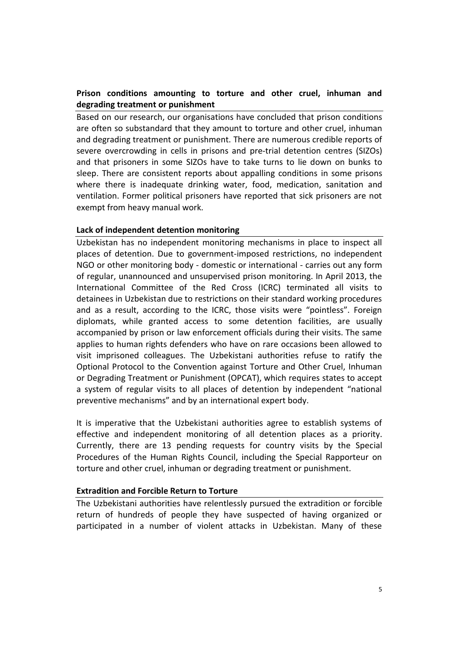### **Prison conditions amounting to torture and other cruel, inhuman and degrading treatment or punishment**

Based on our research, our organisations have concluded that prison conditions are often so substandard that they amount to torture and other cruel, inhuman and degrading treatment or punishment. There are numerous credible reports of severe overcrowding in cells in prisons and pre-trial detention centres (SIZOs) and that prisoners in some SIZOs have to take turns to lie down on bunks to sleep. There are consistent reports about appalling conditions in some prisons where there is inadequate drinking water, food, medication, sanitation and ventilation. Former political prisoners have reported that sick prisoners are not exempt from heavy manual work.

#### **Lack of independent detention monitoring**

Uzbekistan has no independent monitoring mechanisms in place to inspect all places of detention. Due to government-imposed restrictions, no independent NGO or other monitoring body - domestic or international - carries out any form of regular, unannounced and unsupervised prison monitoring. In April 2013, the International Committee of the Red Cross (ICRC) terminated all visits to detainees in Uzbekistan due to restrictions on their standard working procedures and as a result, according to the ICRC, those visits were "pointless". Foreign diplomats, while granted access to some detention facilities, are usually accompanied by prison or law enforcement officials during their visits. The same applies to human rights defenders who have on rare occasions been allowed to visit imprisoned colleagues. The Uzbekistani authorities refuse to ratify the Optional Protocol to the Convention against Torture and Other Cruel, Inhuman or Degrading Treatment or Punishment (OPCAT), which requires states to accept a system of regular visits to all places of detention by independent "national preventive mechanisms" and by an international expert body.

It is imperative that the Uzbekistani authorities agree to establish systems of effective and independent monitoring of all detention places as a priority. Currently, there are 13 pending requests for country visits by the Special Procedures of the Human Rights Council, including the Special Rapporteur on torture and other cruel, inhuman or degrading treatment or punishment.

#### **Extradition and Forcible Return to Torture**

The Uzbekistani authorities have relentlessly pursued the extradition or forcible return of hundreds of people they have suspected of having organized or participated in a number of violent attacks in Uzbekistan. Many of these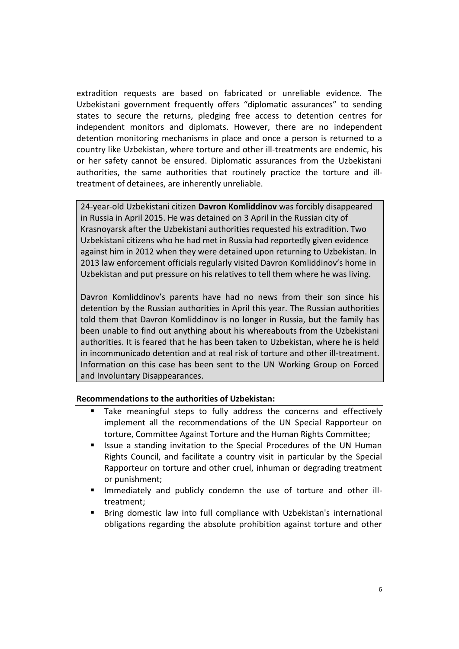extradition requests are based on fabricated or unreliable evidence. The Uzbekistani government frequently offers "diplomatic assurances" to sending states to secure the returns, pledging free access to detention centres for independent monitors and diplomats. However, there are no independent detention monitoring mechanisms in place and once a person is returned to a country like Uzbekistan, where torture and other ill-treatments are endemic, his or her safety cannot be ensured. Diplomatic assurances from the Uzbekistani authorities, the same authorities that routinely practice the torture and illtreatment of detainees, are inherently unreliable.

24-year-old Uzbekistani citizen **Davron Komliddinov** was forcibly disappeared in Russia in April 2015. He was detained on 3 April in the Russian city of Krasnoyarsk after the Uzbekistani authorities requested his extradition. Two Uzbekistani citizens who he had met in Russia had reportedly given evidence against him in 2012 when they were detained upon returning to Uzbekistan. In 2013 law enforcement officials regularly visited Davron Komliddinov's home in Uzbekistan and put pressure on his relatives to tell them where he was living.

Davron Komliddinov's parents have had no news from their son since his detention by the Russian authorities in April this year. The Russian authorities told them that Davron Komliddinov is no longer in Russia, but the family has been unable to find out anything about his whereabouts from the Uzbekistani authorities. It is feared that he has been taken to Uzbekistan, where he is held in incommunicado detention and at real risk of torture and other ill-treatment. Information on this case has been sent to the UN Working Group on Forced and Involuntary Disappearances.

#### **Recommendations to the authorities of Uzbekistan:**

- Take meaningful steps to fully address the concerns and effectively implement all the recommendations of the UN Special Rapporteur on torture, Committee Against Torture and the Human Rights Committee;
- Issue a standing invitation to the Special Procedures of the UN Human Rights Council, and facilitate a country visit in particular by the Special Rapporteur on torture and other cruel, inhuman or degrading treatment or punishment;
- Immediately and publicly condemn the use of torture and other illtreatment;
- **Bring domestic law into full compliance with Uzbekistan's international** obligations regarding the absolute prohibition against torture and other